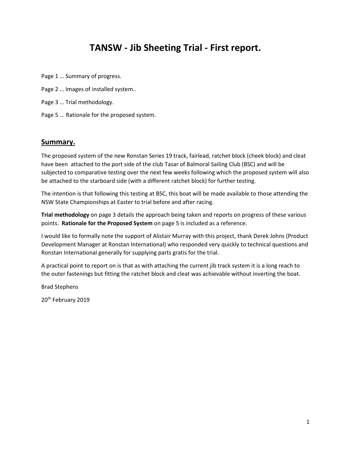## **TANSW - Jib Sheeting Trial - First report.**

- Page 1 … Summary of progress.
- Page 2 … Images of installed system..
- Page 3 … Trial methodology.
- Page 5 ... Rationale for the proposed system.

## **Summary.**

The proposed system of the new Ronstan Series 19 track, fairlead, ratchet block (cheek block) and cleat have been attached to the port side of the club Tasar of Balmoral Sailing Club (BSC) and will be subjected to comparative testing over the next few weeks following which the proposed system will also be attached to the starboard side (with a different ratchet block) for further testing.

The intention is that following this testing at BSC, this boat will be made available to those attending the NSW State Championships at Easter to trial before and after racing.

**Trial methodology** on page 3 details the approach being taken and reports on progress of these various points. **Rationale for the Proposed System** on page 5 is included as a reference.

I would like to formally note the support of Alistair Murray with this project, thank Derek Johns (Product Development Manager at Ronstan International) who responded very quickly to technical questions and Ronstan International generally for supplying parts gratis for the trial.

A practical point to report on is that as with attaching the current jib track system it is a long reach to the outer fastenings but fitting the ratchet block and cleat was achievable without inverting the boat.

Brad Stephens

20<sup>th</sup> February 2019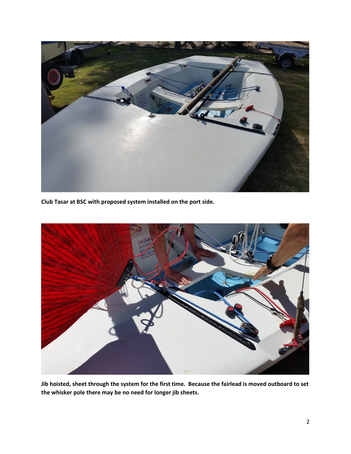

**Club Tasar at BSC with proposed system installed on the port side.**



**Jib hoisted, sheet through the system for the first time. Because the fairlead is moved outboard to set the whisker pole there may be no need for longer jib sheets.**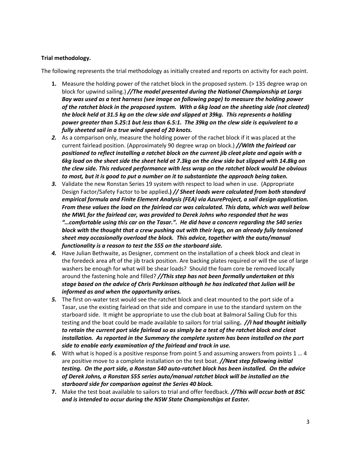## **Trial methodology.**

The following represents the trial methodology as initially created and reports on activity for each point.

- **1.** Measure the holding power of the ratchet block in the proposed system. (> 135 degree wrap on block for upwind sailing.) *//The model presented during the National Championship at Largs Bay was used as a test harness (see image on following page) to measure the holding power of the ratchet block in the proposed system. With a 6kg load on the sheeting side (not cleated) the block held at 31.5 kg on the clew side and slipped at 39kg. This represents a holding power greater than 5.25:1 but less than 6.5:1. The 39kg on the clew side is equivalent to a fully sheeted sail in a true wind speed of 20 knots.*
- *2.* As a comparison only, measure the holding power of the rachet block if it was placed at the current fairlead position. (Approximately 90 degree wrap on block.) *//With the fairlead car positioned to reflect installing a ratchet block on the current jib cleat plate and again with a 6kg load on the sheet side the sheet held at 7.3kg on the clew side but slipped with 14.8kg on the clew side. This reduced performance with less wrap on the ratchet block would be obvious to most, but it is good to put a number on it to substantiate the approach being taken.*
- *3.* Validate the new Ronstan Series 19 system with respect to load when in use. (Appropriate Design Factor/Safety Factor to be applied**.)** *// Sheet loads were calculated from both standard empirical formula and Finite Element Analysis (FEA) via AzureProject, a sail design application. From these values the load on the fairlead car was calculated. This data, which was well below the MWL for the fairlead car, was provided to Derek Johns who responded that he was "…comfortable using this car on the Tasar.". He did have a concern regarding the S40 series block with the thought that a crew pushing out with their legs, on an already fully tensioned sheet may occasionally overload the block. This advice, together with the auto/manual functionality is a reason to test the S55 on the starboard side.*
- *4.* Have Julian Bethwaite, as Designer, comment on the installation of a cheek block and cleat in the foredeck area aft of the jib track position. Are backing plates required or will the use of large washers be enough for what will be shear loads? Should the foam core be removed locally around the fastening hole and filled? *//This step has not been formally undertaken at this stage based on the advice of Chris Parkinson although he has indicated that Julian will be informed as and when the opportunity arises.*
- *5.* The first on-water test would see the ratchet block and cleat mounted to the port side of a Tasar, use the existing fairlead on that side and compare in use to the standard system on the starboard side. It might be appropriate to use the club boat at Balmoral Sailing Club for this testing and the boat could be made available to sailors for trial sailing**.** *//I had thought initially to retain the current port side fairlead so as simply be a test of the ratchet block and cleat installation. As reported in the Summary the complete system has been installed on the port side to enable early examination of the fairlead and track in use.*
- *6.* With what is hoped is a positive response from point 5 and assuming answers from points 1 … 4 are positive move to a complete installation on the test boat. *//Next step following initial testing. On the port side, a Ronstan S40 auto-ratchet block has been installed. On the advice of Derek Johns, a Ronstan S55 series auto/manual ratchet block will be installed on the starboard side for comparison against the Series 40 block.*
- **7.** Make the test boat available to sailors to trial and offer feedback. *//This will occur both at BSC and is intended to occur during the NSW State Championships at Easter.*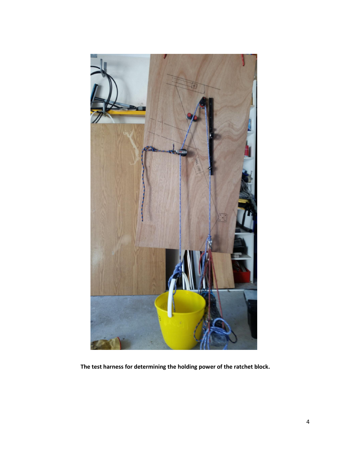

**The test harness for determining the holding power of the ratchet block.**